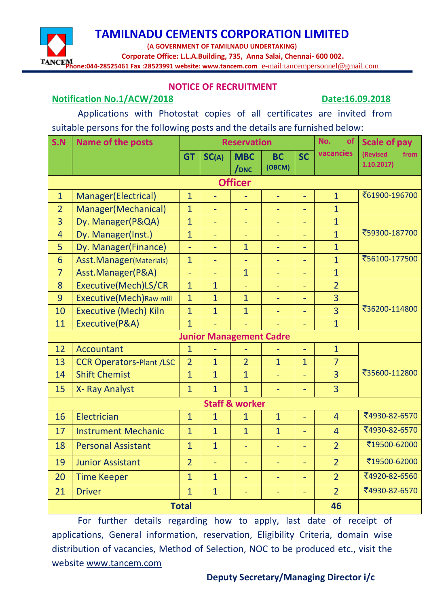**(A GOVERNMENT OF TAMILNADU UNDERTAKING)**

 **Corporate Office: L.L.A.Building, 735, Anna Salai, Chennai- 600 002.**

**Phone:044-28525461 Fax :28523991 website: www.tancem.com** e-mail:tancempersonnel@gmail.com

#### **NOTICE OF RECRUITMENT**

#### **Notification No.1/ACW/2018 Date:16.09.2018**

Applications with Photostat copies of all certificates are invited from suitable persons for the following posts and the details are furnished below:

| S.N             | <b>Name of the posts</b>         | <b>Reservation</b> |                |                                |                          | No.<br><b>of</b>         | <b>Scale of pay</b> |                               |
|-----------------|----------------------------------|--------------------|----------------|--------------------------------|--------------------------|--------------------------|---------------------|-------------------------------|
|                 |                                  | <b>GT</b>          | SC(A)          | <b>MBC</b><br>/ <sub>DNC</sub> | <b>BC</b><br>(OBCM)      | <b>SC</b>                | vacancies           | (Revised<br>from<br>1.10.2017 |
|                 |                                  |                    |                | <b>Officer</b>                 |                          |                          |                     |                               |
| $\mathbf{1}$    | Manager(Electrical)              | $\mathbf{1}$       |                |                                | $\blacksquare$           | $\equiv$                 | $\overline{1}$      | ₹61900-196700                 |
| $\overline{2}$  | Manager(Mechanical)              | $\mathbf{1}$       | ä,             | $\overline{\phantom{a}}$       | $\overline{\phantom{a}}$ | $\blacksquare$           | $\overline{1}$      |                               |
| $\overline{3}$  | Dy. Manager(P&QA)                | $\overline{1}$     |                |                                |                          | $\overline{a}$           | $\overline{1}$      |                               |
| $\overline{4}$  | Dy. Manager(Inst.)               | $\overline{1}$     | ÷,             | $\equiv$                       | $\overline{\phantom{a}}$ | ÷,                       | $\overline{1}$      | ₹59300-187700                 |
| 5               | Dy. Manager(Finance)             | $\equiv$           |                | $\overline{1}$                 | ÷                        | $\overline{\phantom{a}}$ | $\mathbf{1}$        |                               |
| $6\overline{6}$ | Asst.Manager(Materials)          | $\overline{1}$     | ÷,             |                                | ÷                        | $\equiv$                 | $\overline{1}$      | ₹56100-177500                 |
| $\overline{7}$  | Asst.Manager(P&A)                | $\equiv$           |                | $\overline{1}$                 | $\blacksquare$           | $\overline{\phantom{a}}$ | $\overline{1}$      |                               |
| 8               | Executive(Mech)LS/CR             | $\mathbf{1}$       | $\mathbf{1}$   |                                |                          | $\equiv$                 | $\overline{2}$      |                               |
| 9               | <b>Executive</b> (Mech) Raw mill | $\mathbf{1}$       | $\mathbf{1}$   | $\overline{1}$                 | ٠                        | ÷                        | 3                   |                               |
| 10              | <b>Executive (Mech) Kiln</b>     | $\mathbf{1}$       | $\overline{1}$ | $\overline{1}$                 | ٠                        | $\equiv$                 | 3                   | ₹36200-114800                 |
| 11              | Executive(P&A)                   | $\overline{1}$     | ÷,             | ÷.                             |                          | $\blacksquare$           | $\overline{1}$      |                               |
|                 |                                  |                    |                | <b>Junior Management Cadre</b> |                          |                          |                     |                               |
| 12              | <b>Accountant</b>                | $\mathbf{1}$       | ÷,             |                                |                          | $\Box$                   | $\overline{1}$      |                               |
| 13              | <b>CCR Operators-Plant /LSC</b>  | $\overline{2}$     | $\mathbf{1}$   | $\overline{2}$                 | $\mathbf{1}$             | $\overline{1}$           | $\overline{7}$      |                               |
| 14              | <b>Shift Chemist</b>             | $\overline{1}$     | $\mathbf{1}$   | $\overline{1}$                 | $\blacksquare$           | $\overline{\phantom{0}}$ | 3                   | ₹35600-112800                 |
| 15              | X- Ray Analyst                   | $\mathbf{1}$       | $\overline{1}$ | $\overline{1}$                 | Ξ                        | ÷,                       | $\overline{3}$      |                               |
|                 |                                  |                    |                | <b>Staff &amp; worker</b>      |                          |                          |                     |                               |
| 16              | Electrician                      | $\mathbf{1}$       | $\overline{1}$ | $\overline{1}$                 | $\overline{1}$           | $\equiv$                 | $\overline{4}$      | ₹4930-82-6570                 |
| 17              | <b>Instrument Mechanic</b>       | $\mathbf{1}$       | $\overline{1}$ | $\overline{1}$                 | $\overline{1}$           | ä,                       | $\overline{4}$      | ₹4930-82-6570                 |
| 18              | <b>Personal Assistant</b>        | $\mathbf{1}$       | $\overline{1}$ | $\equiv$                       | $\overline{\phantom{a}}$ | $\equiv$                 | $\overline{2}$      | ₹19500-62000                  |
| 19              | <b>Junior Assistant</b>          | $\overline{2}$     | L,             | $\equiv$                       | $\blacksquare$           | $\equiv$                 | $\overline{2}$      | ₹19500-62000                  |
| 20              | <b>Time Keeper</b>               | $\mathbf{1}$       | $\overline{1}$ | $\equiv$                       | $\equiv$                 | $\overline{\phantom{0}}$ | $\overline{2}$      | ₹4920-82-6560                 |
| 21              | <b>Driver</b>                    | $\mathbf{1}$       | $\mathbf{1}$   | ÷,                             | $\equiv$                 | $\overline{\phantom{0}}$ | $\overline{2}$      | ₹4930-82-6570                 |
|                 |                                  | <b>Total</b>       |                |                                |                          |                          | 46                  |                               |

For further details regarding how to apply, last date of receipt of applications, General information, reservation, Eligibility Criteria, domain wise distribution of vacancies, Method of Selection, NOC to be produced etc., visit the website [www.tancem.com](http://www.tancem.com/)

#### **Deputy Secretary/Managing Director i/c**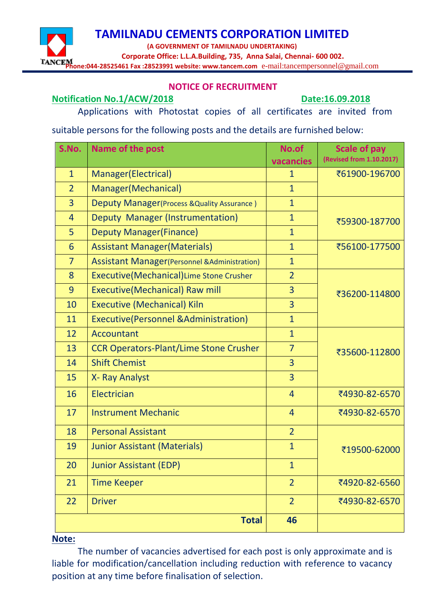**(A GOVERNMENT OF TAMILNADU UNDERTAKING)**

 **Corporate Office: L.L.A.Building, 735, Anna Salai, Chennai- 600 002.**

**Phone:044-28525461 Fax :28523991 website: www.tancem.com** e-mail:tancempersonnel@gmail.com

#### **NOTICE OF RECRUITMENT**

#### **Notification No.1/ACW/2018 Date:16.09.2018**

Applications with Photostat copies of all certificates are invited from

suitable persons for the following posts and the details are furnished below:

| S.No.           | Name of the post                                      | No.of          | <b>Scale of pay</b>      |
|-----------------|-------------------------------------------------------|----------------|--------------------------|
|                 |                                                       | vacancies      | (Revised from 1.10.2017) |
| $\mathbf{1}$    | Manager (Electrical)                                  | 1              | ₹61900-196700            |
| $\overline{2}$  | Manager(Mechanical)                                   | $\mathbf{1}$   |                          |
| $\overline{3}$  | Deputy Manager(Process & Quality Assurance)           | $\mathbf{1}$   |                          |
| $\overline{4}$  | Deputy Manager (Instrumentation)                      | $\mathbf{1}$   | ₹59300-187700            |
| 5               | <b>Deputy Manager (Finance)</b>                       | $\mathbf{1}$   |                          |
| $6\overline{6}$ | <b>Assistant Manager (Materials)</b>                  | $\mathbf{1}$   | ₹56100-177500            |
| $\overline{7}$  | <b>Assistant Manager</b> (Personnel & Administration) | $\mathbf{1}$   |                          |
| 8               | Executive(Mechanical) Lime Stone Crusher              | $\overline{2}$ |                          |
| 9               | <b>Executive(Mechanical) Raw mill</b>                 | 3              | ₹36200-114800            |
| 10              | <b>Executive (Mechanical) Kiln</b>                    | 3              |                          |
| 11              | <b>Executive(Personnel &amp;Administration)</b>       | $\mathbf{1}$   |                          |
| 12              | <b>Accountant</b>                                     | $\mathbf{1}$   |                          |
| 13              | <b>CCR Operators-Plant/Lime Stone Crusher</b>         | $\overline{7}$ | ₹35600-112800            |
| 14              | <b>Shift Chemist</b>                                  | $\overline{3}$ |                          |
| 15              | X- Ray Analyst                                        | $\overline{3}$ |                          |
| 16              | Electrician                                           | $\overline{4}$ | ₹4930-82-6570            |
| 17              | <b>Instrument Mechanic</b>                            | $\overline{4}$ | ₹4930-82-6570            |
| 18              | <b>Personal Assistant</b>                             | $\overline{2}$ |                          |
| 19              | <b>Junior Assistant (Materials)</b>                   | $\mathbf{1}$   | ₹19500-62000             |
| 20              | <b>Junior Assistant (EDP)</b>                         | $\mathbf{1}$   |                          |
| 21              | <b>Time Keeper</b>                                    | $\overline{2}$ | ₹4920-82-6560            |
| 22              | <b>Driver</b>                                         | $\overline{2}$ | ₹4930-82-6570            |
|                 | <b>Total</b>                                          | 46             |                          |

#### **Note:**

The number of vacancies advertised for each post is only approximate and is liable for modification/cancellation including reduction with reference to vacancy position at any time before finalisation of selection.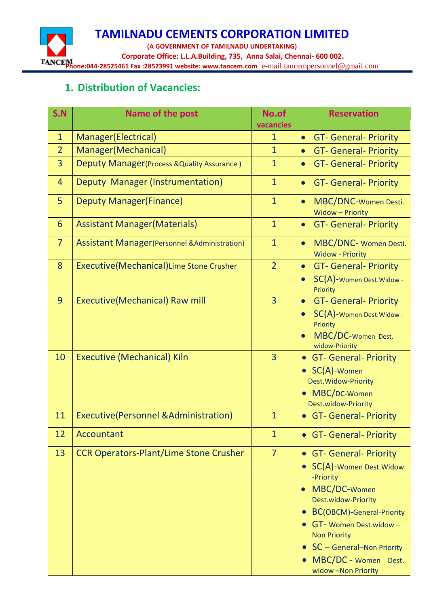**TAMILNADU CEMENTS CORPORATION LIMITED (A GOVERNMENT OF TAMILNADU UNDERTAKING) Corporate Office: L.L.A.Building, 735, Anna Salai, Chennai- 600 002. Phone:044-28525461 Fax :28523991 website: www.tancem.com** e-mail:tancempersonnel@gmail.com

## **1. Distribution of Vacancies:**

| S.N            | Name of the post                                          | No.of          | <b>Reservation</b>                                                                                                                                                                                                                                                                             |
|----------------|-----------------------------------------------------------|----------------|------------------------------------------------------------------------------------------------------------------------------------------------------------------------------------------------------------------------------------------------------------------------------------------------|
|                |                                                           | vacancies      |                                                                                                                                                                                                                                                                                                |
| $\mathbf{1}$   | Manager (Electrical)                                      | $\mathbf{1}$   | <b>GT- General- Priority</b><br>$\bullet$                                                                                                                                                                                                                                                      |
| $\overline{2}$ | Manager (Mechanical)                                      | $\mathbf{1}$   | <b>GT- General- Priority</b><br>$\bullet$                                                                                                                                                                                                                                                      |
| $\overline{3}$ | Deputy Manager (Process & Quality Assurance)              | $\mathbf{1}$   | <b>GT- General- Priority</b><br>$\bullet$                                                                                                                                                                                                                                                      |
| $\overline{4}$ | Deputy Manager (Instrumentation)                          | $\mathbf{1}$   | <b>GT- General- Priority</b><br>$\bullet$                                                                                                                                                                                                                                                      |
| 5              | <b>Deputy Manager (Finance)</b>                           | $\mathbf{1}$   | MBC/DNC-Women Desti.<br>$\bullet$<br><b>Widow - Priority</b>                                                                                                                                                                                                                                   |
| 6              | <b>Assistant Manager (Materials)</b>                      | $\mathbf{1}$   | <b>GT- General- Priority</b><br>$\bullet$                                                                                                                                                                                                                                                      |
| $\overline{7}$ | <b>Assistant Manager (Personnel &amp; Administration)</b> | $\mathbf{1}$   | MBC/DNC- Women Desti.<br>$\bullet$<br><b>Widow - Priority</b>                                                                                                                                                                                                                                  |
| 8              | Executive(Mechanical) Lime Stone Crusher                  | $\overline{2}$ | <b>GT- General- Priority</b><br>$\bullet$<br>SC(A)-Women Dest. Widow -<br>Priority                                                                                                                                                                                                             |
| 9              | <b>Executive(Mechanical) Raw mill</b>                     | $\overline{3}$ | <b>GT- General- Priority</b><br>$\bullet$<br>SC(A)-Women Dest. Widow -<br>Priority<br>MBC/DC-Women Dest.<br>widow-Priority                                                                                                                                                                     |
| 10             | <b>Executive (Mechanical) Kiln</b>                        | $\overline{3}$ | <b>GT- General- Priority</b><br>SC(A)-Women<br>Dest. Widow-Priority<br>MBC/DC-Women<br>Dest.widow-Priority                                                                                                                                                                                     |
| 11             | <b>Executive(Personnel &amp;Administration)</b>           | 1              | <b>GT- General- Priority</b>                                                                                                                                                                                                                                                                   |
| 12             | <b>Accountant</b>                                         | 1              | • GT- General- Priority                                                                                                                                                                                                                                                                        |
| 13             | <b>CCR Operators-Plant/Lime Stone Crusher</b>             | $\overline{7}$ | <b>GT- General- Priority</b><br>$\bullet$<br>SC(A)-Women Dest. Widow<br>-Priority<br>MBC/DC-Women<br>Dest.widow-Priority<br><b>BC(OBCM)-General-Priority</b><br>GT- Women Dest.widow-<br><b>Non Priority</b><br>• $SC - General - Non Priority$<br>MBC/DC - Women Dest.<br>widow -Non Priority |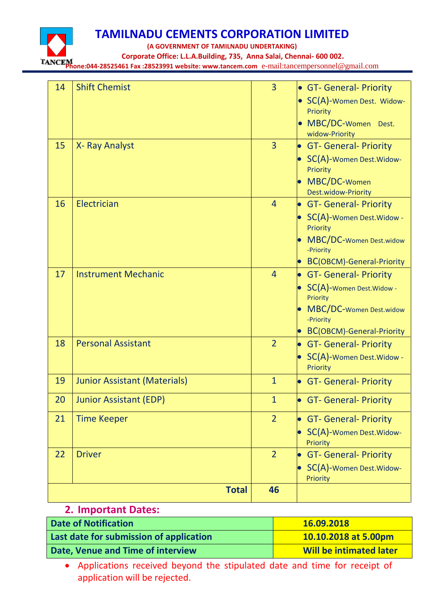

**(A GOVERNMENT OF TAMILNADU UNDERTAKING)**

 **Corporate Office: L.L.A.Building, 735, Anna Salai, Chennai- 600 002.**

**Phone:044-28525461 Fax :28523991 website: www.tancem.com** e-mail:tancempersonnel@gmail.com

| 14 | <b>Shift Chemist</b>                | $\overline{3}$ | • GT- General- Priority<br>• SC(A)-Women Dest. Widow-<br>Priority<br>• MBC/DC-Women Dest.<br>widow-Priority                                |
|----|-------------------------------------|----------------|--------------------------------------------------------------------------------------------------------------------------------------------|
| 15 | X- Ray Analyst                      | 3              | <b>GT- General- Priority</b><br>• SC(A)-Women Dest. Widow-<br>Priority<br>MBC/DC-Women<br>Dest.widow-Priority                              |
| 16 | Electrician                         | $\overline{4}$ | <b>GT- General- Priority</b><br>SC(A)-Women Dest. Widow -<br>Priority<br>MBC/DC-Women Dest.widow<br>-Priority<br>BC(OBCM)-General-Priority |
| 17 | <b>Instrument Mechanic</b>          | $\overline{4}$ | • GT- General- Priority<br>• SC(A)-Women Dest. Widow -<br>Priority<br>MBC/DC-Women Dest.widow<br>-Priority<br>BC(OBCM)-General-Priority    |
| 18 | <b>Personal Assistant</b>           | $\overline{2}$ | • GT- General- Priority<br>• SC(A)-Women Dest. Widow -<br>Priority                                                                         |
| 19 | <b>Junior Assistant (Materials)</b> | $\mathbf{1}$   | • GT- General- Priority                                                                                                                    |
| 20 | <b>Junior Assistant (EDP)</b>       | 1              | • GT- General- Priority                                                                                                                    |
| 21 | <b>Time Keeper</b>                  | $\overline{2}$ | <b>GT- General- Priority</b><br>SC(A)-Women Dest. Widow-<br>Priority                                                                       |
| 22 | <b>Driver</b>                       | $\overline{2}$ | <b>GT- General- Priority</b><br>SC(A)-Women Dest. Widow-<br>Priority                                                                       |
|    | <b>Total</b>                        | 46             |                                                                                                                                            |

### **2. Important Dates:**

| <b>Date of Notification</b>             | 16.09.2018                     |
|-----------------------------------------|--------------------------------|
| Last date for submission of application | 10.10.2018 at 5.00pm           |
| Date, Venue and Time of interview       | <b>Will be intimated later</b> |

 Applications received beyond the stipulated date and time for receipt of application will be rejected.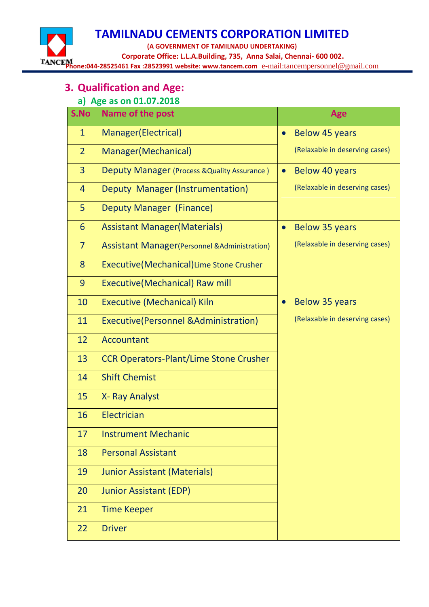**TAMILNADU CEMENTS CORPORATION LIMITED (A GOVERNMENT OF TAMILNADU UNDERTAKING) Corporate Office: L.L.A.Building, 735, Anna Salai, Chennai- 600 002.**

**Phone:044-28525461 Fax :28523991 website: www.tancem.com** e-mail:tancempersonnel@gmail.com

# **3. Qualification and Age:**

### **a) Age as on 01.07.2018**

| S.No           | Name of the post                                          | Age                                |
|----------------|-----------------------------------------------------------|------------------------------------|
| $\mathbf{1}$   | Manager(Electrical)                                       | <b>Below 45 years</b><br>$\bullet$ |
| $\overline{2}$ | Manager(Mechanical)                                       | (Relaxable in deserving cases)     |
| $\overline{3}$ | Deputy Manager (Process & Quality Assurance)              | Below 40 years<br>$\bullet$        |
| $\overline{4}$ | Deputy Manager (Instrumentation)                          | (Relaxable in deserving cases)     |
| 5              | Deputy Manager (Finance)                                  |                                    |
| 6              | <b>Assistant Manager (Materials)</b>                      | <b>Below 35 years</b>              |
| $\overline{7}$ | <b>Assistant Manager (Personnel &amp; Administration)</b> | (Relaxable in deserving cases)     |
| 8              | Executive(Mechanical) Lime Stone Crusher                  |                                    |
| 9              | <b>Executive(Mechanical) Raw mill</b>                     |                                    |
| 10             | <b>Executive (Mechanical) Kiln</b>                        | <b>Below 35 years</b>              |
| 11             | Executive (Personnel & Administration)                    | (Relaxable in deserving cases)     |
| 12             | Accountant                                                |                                    |
| 13             | <b>CCR Operators-Plant/Lime Stone Crusher</b>             |                                    |
| 14             | <b>Shift Chemist</b>                                      |                                    |
| 15             | X- Ray Analyst                                            |                                    |
| 16             | Electrician                                               |                                    |
| 17             | <b>Instrument Mechanic</b>                                |                                    |
| 18             | <b>Personal Assistant</b>                                 |                                    |
| 19             | <b>Junior Assistant (Materials)</b>                       |                                    |
| 20             | <b>Junior Assistant (EDP)</b>                             |                                    |
| 21             | <b>Time Keeper</b>                                        |                                    |
| 22             | <b>Driver</b>                                             |                                    |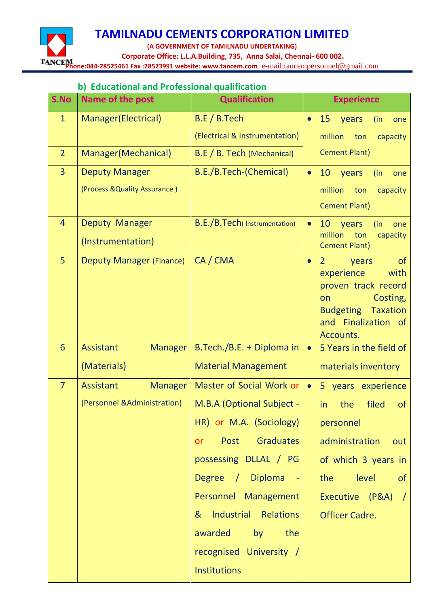**TAMILNADU CEMENTS CORPORATION LIMITED (A GOVERNMENT OF TAMILNADU UNDERTAKING) Corporate Office: L.L.A.Building, 735, Anna Salai, Chennai- 600 002. Phone:044-28525461 Fax :28523991 website: www.tancem.com** e-mail:tancempersonnel@gmail.com

#### **b) Educational and Professional qualification**

| S.No           | Name of the post                   | <b>Qualification</b>           | <b>Experience</b>                                                                                                                                                               |
|----------------|------------------------------------|--------------------------------|---------------------------------------------------------------------------------------------------------------------------------------------------------------------------------|
| $\mathbf{1}$   | Manager(Electrical)                | B.E/B.Tech                     | 15<br>years<br>(in<br>$\bullet$<br>one                                                                                                                                          |
|                |                                    | (Electrical & Instrumentation) | million<br>ton<br>capacity                                                                                                                                                      |
| $\overline{2}$ | Manager(Mechanical)                | B.E / B. Tech (Mechanical)     | <b>Cement Plant)</b>                                                                                                                                                            |
| $\overline{3}$ | <b>Deputy Manager</b>              | B.E./B.Tech-(Chemical)         | 10 years<br>(in<br>$\bullet$<br>one                                                                                                                                             |
|                | (Process & Quality Assurance)      |                                | million<br>ton<br>capacity                                                                                                                                                      |
|                |                                    |                                | <b>Cement Plant)</b>                                                                                                                                                            |
| $\overline{4}$ | Deputy Manager                     | B.E./B.Tech(Instrumentation)   | 10<br>years<br>$\bullet$<br>(in<br>one<br>million                                                                                                                               |
|                | (Instrumentation)                  |                                | ton<br>capacity<br><b>Cement Plant)</b>                                                                                                                                         |
| 5              | <b>Deputy Manager (Finance)</b>    | CA / CMA                       | $\circ$<br>$\overline{2}$<br>years<br>$\bullet$<br>experience<br>with<br>proven track record<br>Costing,<br>on<br><b>Budgeting Taxation</b><br>and Finalization of<br>Accounts. |
| 6              | <b>Assistant</b><br><b>Manager</b> | B.Tech./B.E. + Diploma in      | 5 Years in the field of<br>$\bullet$                                                                                                                                            |
|                | (Materials)                        | <b>Material Management</b>     | materials inventory                                                                                                                                                             |
| $\overline{7}$ | Assistant<br><b>Manager</b>        | Master of Social Work or       | 5 years experience<br>$\bullet$                                                                                                                                                 |
|                | (Personnel & Administration)       | M.B.A (Optional Subject -      | filed<br>the<br><b>of</b><br>in                                                                                                                                                 |
|                |                                    | HR) or M.A. (Sociology)        | personnel                                                                                                                                                                       |
|                |                                    | Post Graduates<br>or           | administration<br>out                                                                                                                                                           |
|                |                                    | possessing DLLAL / PG          | of which 3 years in                                                                                                                                                             |
|                |                                    | Degree / Diploma -             | level<br>the<br>of                                                                                                                                                              |
|                |                                    | Personnel Management           | Executive (P&A) /                                                                                                                                                               |
|                |                                    | & Industrial Relations         | <b>Officer Cadre.</b>                                                                                                                                                           |
|                |                                    | awarded<br>by<br>the           |                                                                                                                                                                                 |
|                |                                    | recognised University /        |                                                                                                                                                                                 |
|                |                                    | Institutions                   |                                                                                                                                                                                 |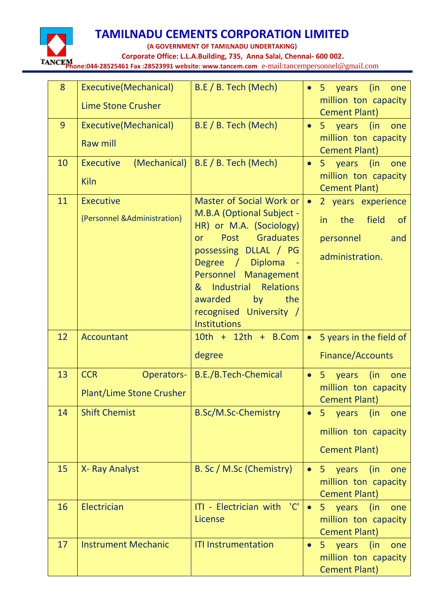

**(A GOVERNMENT OF TAMILNADU UNDERTAKING)**

 **Corporate Office: L.L.A.Building, 735, Anna Salai, Chennai- 600 002.**

**Phone:044-28525461 Fax :28523991 website: www.tancem.com** e-mail:tancempersonnel@gmail.com

| 8  | Executive(Mechanical)            | B.E / B. Tech (Mech)                                    | (in<br>5 years<br>one<br>$\bullet$                         |
|----|----------------------------------|---------------------------------------------------------|------------------------------------------------------------|
|    | <b>Lime Stone Crusher</b>        |                                                         | million ton capacity<br><b>Cement Plant)</b>               |
| 9  | Executive(Mechanical)            | B.E / B. Tech (Mech)                                    | 5 years (in<br>one<br>$\bullet$                            |
|    | <b>Raw mill</b>                  |                                                         | million ton capacity<br><b>Cement Plant)</b>               |
| 10 | (Mechanical)<br><b>Executive</b> | B.E / B. Tech (Mech)                                    | 5 years (in<br>one<br>$\bullet$                            |
|    | <b>Kiln</b>                      |                                                         | million ton capacity<br><b>Cement Plant)</b>               |
| 11 | <b>Executive</b>                 | Master of Social Work or                                | 2 years experience<br>$\bullet$                            |
|    | (Personnel & Administration)     | M.B.A (Optional Subject -<br>HR) or M.A. (Sociology)    | field<br>the<br>in<br><b>of</b>                            |
|    |                                  | <b>Graduates</b><br>Post<br>or                          | personnel<br>and                                           |
|    |                                  | possessing DLLAL / PG<br>Degree / Diploma<br>$\sim$ $-$ | administration.                                            |
|    |                                  | Personnel Management                                    |                                                            |
|    |                                  | Relations<br>& Industrial<br>awarded<br>by<br>the       |                                                            |
|    |                                  | recognised University /                                 |                                                            |
| 12 |                                  | <b>Institutions</b>                                     |                                                            |
|    | <b>Accountant</b>                | $10th + 12th + B$ .Com                                  | 5 years in the field of<br>$\bullet$                       |
|    |                                  | degree                                                  | Finance/Accounts                                           |
| 13 | <b>CCR</b><br>Operators-         | B.E./B.Tech-Chemical                                    | 5 years<br>(in<br>$\bullet$<br>one<br>million ton capacity |
|    | <b>Plant/Lime Stone Crusher</b>  |                                                         | Cement Plant)                                              |
| 14 | <b>Shift Chemist</b>             | <b>B.Sc/M.Sc-Chemistry</b>                              | 5 years<br>(in<br>one<br>$\bullet$                         |
|    |                                  |                                                         | million ton capacity                                       |
|    |                                  |                                                         | <b>Cement Plant)</b>                                       |
| 15 | X-Ray Analyst                    | B. Sc / M.Sc (Chemistry)                                | 5 years<br>(in)<br>one<br>$\bullet$                        |
|    |                                  |                                                         | million ton capacity<br><b>Cement Plant)</b>               |
|    |                                  |                                                         |                                                            |
| 16 | Electrician                      | ITI - Electrician with 'C'                              | 5 years (in<br>one<br>$\bullet$                            |
|    |                                  | License                                                 | million ton capacity                                       |
| 17 | <b>Instrument Mechanic</b>       | <b>ITI Instrumentation</b>                              | <b>Cement Plant)</b><br>5 years (in<br>one<br>$\bullet$    |
|    |                                  |                                                         | million ton capacity<br><b>Cement Plant)</b>               |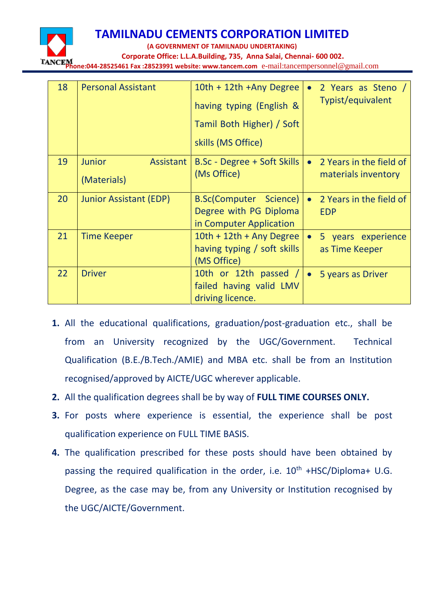

**(A GOVERNMENT OF TAMILNADU UNDERTAKING)**

 **Corporate Office: L.L.A.Building, 735, Anna Salai, Chennai- 600 002.**

**Phone:044-28525461 Fax :28523991 website: www.tancem.com** e-mail:tancempersonnel@gmail.com

| 18 | <b>Personal Assistant</b>                 | 10th + 12th + Any Degree<br>having typing (English &<br>Tamil Both Higher) / Soft<br>skills (MS Office) | 2 Years as Steno /<br>$\bullet$<br>Typist/equivalent        |
|----|-------------------------------------------|---------------------------------------------------------------------------------------------------------|-------------------------------------------------------------|
| 19 | <b>Junior</b><br>Assistant<br>(Materials) | B.Sc - Degree + Soft Skills<br>(Ms Office)                                                              | 2 Years in the field of<br>$\bullet$<br>materials inventory |
| 20 | Junior Assistant (EDP)                    | <b>B.Sc(Computer Science)</b><br>Degree with PG Diploma<br>in Computer Application                      | 2 Years in the field of<br>$\bullet$<br><b>EDP</b>          |
| 21 | <b>Time Keeper</b>                        | $10th + 12th + Any Degree$<br>having typing / soft skills<br>(MS Office)                                | 5 years experience<br>$\bullet$<br>as Time Keeper           |
| 22 | <b>Driver</b>                             | 10th or 12th passed /<br>failed having valid LMV<br>driving licence.                                    | 5 years as Driver                                           |

- **1.** All the educational qualifications, graduation/post-graduation etc., shall be from an University recognized by the UGC/Government. Technical Qualification (B.E./B.Tech./AMIE) and MBA etc. shall be from an Institution recognised/approved by AICTE/UGC wherever applicable.
- **2.** All the qualification degrees shall be by way of **FULL TIME COURSES ONLY.**
- **3.** For posts where experience is essential, the experience shall be post qualification experience on FULL TIME BASIS.
- **4.** The qualification prescribed for these posts should have been obtained by passing the required qualification in the order, i.e.  $10^{th}$  +HSC/Diploma+ U.G. Degree, as the case may be, from any University or Institution recognised by the UGC/AICTE/Government.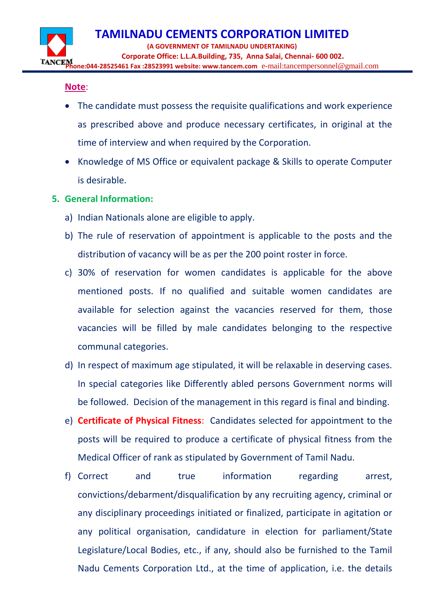#### **Note**:

- The candidate must possess the requisite qualifications and work experience as prescribed above and produce necessary certificates, in original at the time of interview and when required by the Corporation.
- Knowledge of MS Office or equivalent package & Skills to operate Computer is desirable.

#### **5. General Information:**

- a) Indian Nationals alone are eligible to apply.
- b) The rule of reservation of appointment is applicable to the posts and the distribution of vacancy will be as per the 200 point roster in force.
- c) 30% of reservation for women candidates is applicable for the above mentioned posts. If no qualified and suitable women candidates are available for selection against the vacancies reserved for them, those vacancies will be filled by male candidates belonging to the respective communal categories.
- d) In respect of maximum age stipulated, it will be relaxable in deserving cases. In special categories like Differently abled persons Government norms will be followed. Decision of the management in this regard is final and binding.
- e) **Certificate of Physical Fitness**: Candidates selected for appointment to the posts will be required to produce a certificate of physical fitness from the Medical Officer of rank as stipulated by Government of Tamil Nadu.
- f) Correct and true information regarding arrest, convictions/debarment/disqualification by any recruiting agency, criminal or any disciplinary proceedings initiated or finalized, participate in agitation or any political organisation, candidature in election for parliament/State Legislature/Local Bodies, etc., if any, should also be furnished to the Tamil Nadu Cements Corporation Ltd., at the time of application, i.e. the details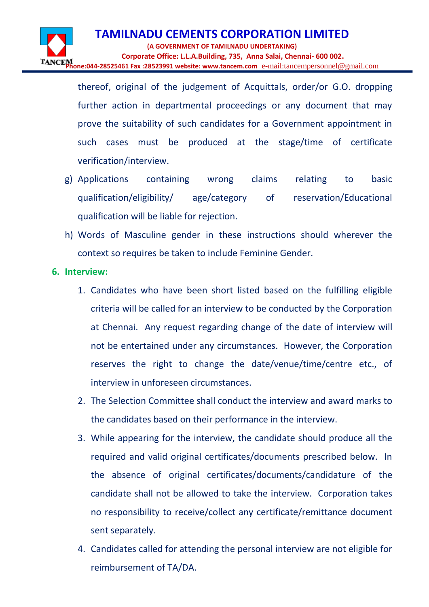thereof, original of the judgement of Acquittals, order/or G.O. dropping further action in departmental proceedings or any document that may prove the suitability of such candidates for a Government appointment in such cases must be produced at the stage/time of certificate verification/interview.

- g) Applications containing wrong claims relating to basic qualification/eligibility/ age/category of reservation/Educational qualification will be liable for rejection.
- h) Words of Masculine gender in these instructions should wherever the context so requires be taken to include Feminine Gender.
- **6. Interview:**
	- 1. Candidates who have been short listed based on the fulfilling eligible criteria will be called for an interview to be conducted by the Corporation at Chennai. Any request regarding change of the date of interview will not be entertained under any circumstances. However, the Corporation reserves the right to change the date/venue/time/centre etc., of interview in unforeseen circumstances.
	- 2. The Selection Committee shall conduct the interview and award marks to the candidates based on their performance in the interview.
	- 3. While appearing for the interview, the candidate should produce all the required and valid original certificates/documents prescribed below. In the absence of original certificates/documents/candidature of the candidate shall not be allowed to take the interview. Corporation takes no responsibility to receive/collect any certificate/remittance document sent separately.
	- 4. Candidates called for attending the personal interview are not eligible for reimbursement of TA/DA.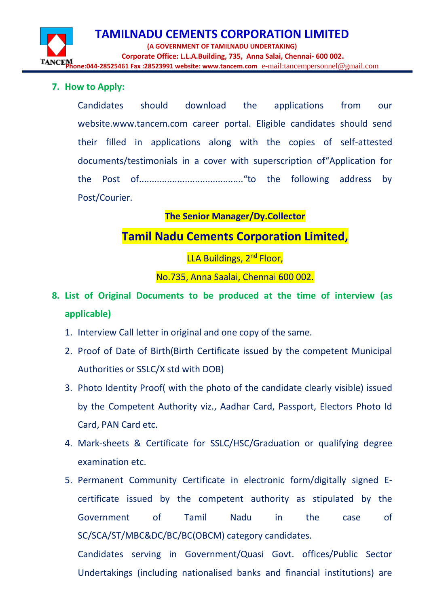**TAMILNADU CEMENTS CORPORATION LIMITED (A GOVERNMENT OF TAMILNADU UNDERTAKING) Corporate Office: L.L.A.Building, 735, Anna Salai, Chennai- 600 002. Phone:044-28525461 Fax :28523991 website: www.tancem.com** e-mail:tancempersonnel@gmail.com

#### **7. How to Apply:**

Candidates should download the applications from our website.www.tancem.com career portal. Eligible candidates should send their filled in applications along with the copies of self-attested documents/testimonials in a cover with superscription of"Application for the Post of........................................."to the following address by Post/Courier.

### **The Senior Manager/Dy.Collector**

## **Tamil Nadu Cements Corporation Limited,**

LLA Buildings, 2<sup>nd</sup> Floor,

No.735, Anna Saalai, Chennai 600 002.

- **8. List of Original Documents to be produced at the time of interview (as applicable)**
	- 1. Interview Call letter in original and one copy of the same.
	- 2. Proof of Date of Birth(Birth Certificate issued by the competent Municipal Authorities or SSLC/X std with DOB)
	- 3. Photo Identity Proof( with the photo of the candidate clearly visible) issued by the Competent Authority viz., Aadhar Card, Passport, Electors Photo Id Card, PAN Card etc.
	- 4. Mark-sheets & Certificate for SSLC/HSC/Graduation or qualifying degree examination etc.

5. Permanent Community Certificate in electronic form/digitally signed Ecertificate issued by the competent authority as stipulated by the Government of Tamil Nadu in the case of SC/SCA/ST/MBC&DC/BC/BC(OBCM) category candidates.

Candidates serving in Government/Quasi Govt. offices/Public Sector Undertakings (including nationalised banks and financial institutions) are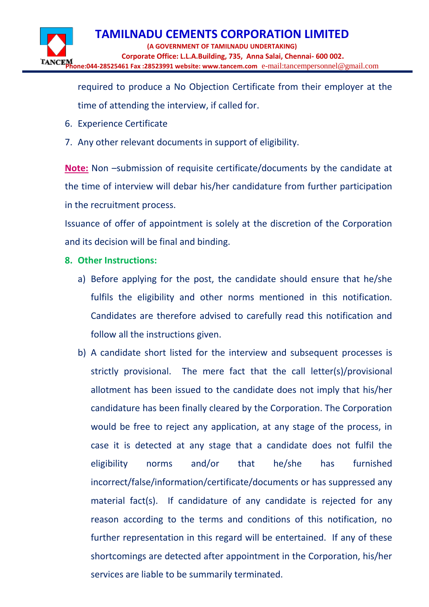required to produce a No Objection Certificate from their employer at the time of attending the interview, if called for.

- 6. Experience Certificate
- 7. Any other relevant documents in support of eligibility.

**Note:** Non –submission of requisite certificate/documents by the candidate at the time of interview will debar his/her candidature from further participation in the recruitment process.

Issuance of offer of appointment is solely at the discretion of the Corporation and its decision will be final and binding.

- **8. Other Instructions:**
	- a) Before applying for the post, the candidate should ensure that he/she fulfils the eligibility and other norms mentioned in this notification. Candidates are therefore advised to carefully read this notification and follow all the instructions given.
	- b) A candidate short listed for the interview and subsequent processes is strictly provisional. The mere fact that the call letter(s)/provisional allotment has been issued to the candidate does not imply that his/her candidature has been finally cleared by the Corporation. The Corporation would be free to reject any application, at any stage of the process, in case it is detected at any stage that a candidate does not fulfil the eligibility norms and/or that he/she has furnished incorrect/false/information/certificate/documents or has suppressed any material fact(s). If candidature of any candidate is rejected for any reason according to the terms and conditions of this notification, no further representation in this regard will be entertained. If any of these shortcomings are detected after appointment in the Corporation, his/her services are liable to be summarily terminated.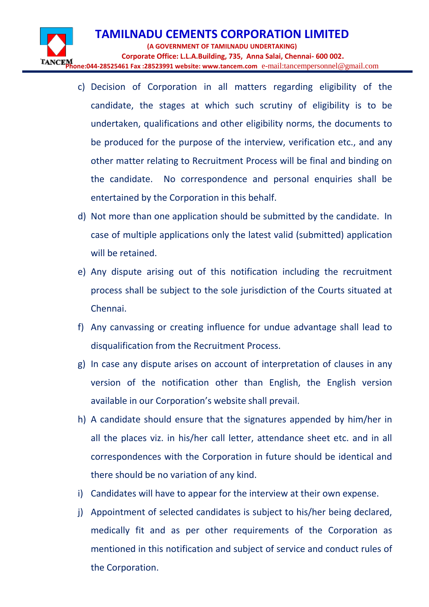- c) Decision of Corporation in all matters regarding eligibility of the candidate, the stages at which such scrutiny of eligibility is to be undertaken, qualifications and other eligibility norms, the documents to be produced for the purpose of the interview, verification etc., and any other matter relating to Recruitment Process will be final and binding on the candidate. No correspondence and personal enquiries shall be entertained by the Corporation in this behalf.
- d) Not more than one application should be submitted by the candidate. In case of multiple applications only the latest valid (submitted) application will be retained.
- e) Any dispute arising out of this notification including the recruitment process shall be subject to the sole jurisdiction of the Courts situated at Chennai.
- f) Any canvassing or creating influence for undue advantage shall lead to disqualification from the Recruitment Process.
- g) In case any dispute arises on account of interpretation of clauses in any version of the notification other than English, the English version available in our Corporation's website shall prevail.
- h) A candidate should ensure that the signatures appended by him/her in all the places viz. in his/her call letter, attendance sheet etc. and in all correspondences with the Corporation in future should be identical and there should be no variation of any kind.
- i) Candidates will have to appear for the interview at their own expense.
- j) Appointment of selected candidates is subject to his/her being declared, medically fit and as per other requirements of the Corporation as mentioned in this notification and subject of service and conduct rules of the Corporation.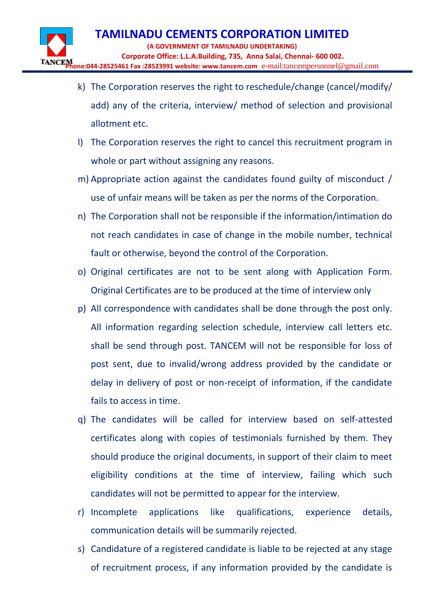- k) The Corporation reserves the right to reschedule/change (cancel/modify/ add) any of the criteria, interview/ method of selection and provisional allotment etc.
- l) The Corporation reserves the right to cancel this recruitment program in whole or part without assigning any reasons.
- m) Appropriate action against the candidates found guilty of misconduct / use of unfair means will be taken as per the norms of the Corporation.
- n) The Corporation shall not be responsible if the information/intimation do not reach candidates in case of change in the mobile number, technical fault or otherwise, beyond the control of the Corporation.
- o) Original certificates are not to be sent along with Application Form. Original Certificates are to be produced at the time of interview only
- p) All correspondence with candidates shall be done through the post only. All information regarding selection schedule, interview call letters etc. shall be send through post. TANCEM will not be responsible for loss of post sent, due to invalid/wrong address provided by the candidate or delay in delivery of post or non-receipt of information, if the candidate fails to access in time.
- q) The candidates will be called for interview based on self-attested certificates along with copies of testimonials furnished by them. They should produce the original documents, in support of their claim to meet eligibility conditions at the time of interview, failing which such candidates will not be permitted to appear for the interview.
- r) Incomplete applications like qualifications, experience details, communication details will be summarily rejected.
- s) Candidature of a registered candidate is liable to be rejected at any stage of recruitment process, if any information provided by the candidate is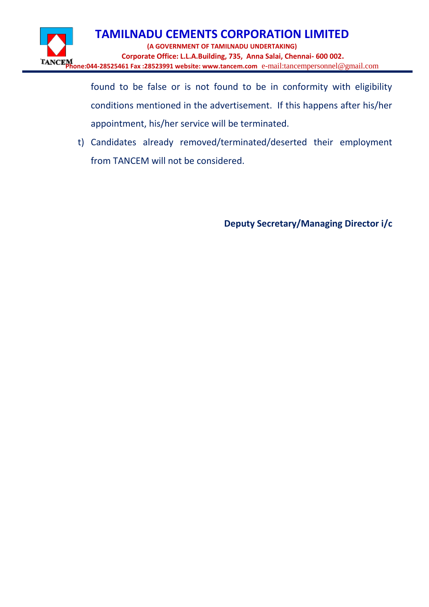

found to be false or is not found to be in conformity with eligibility conditions mentioned in the advertisement. If this happens after his/her appointment, his/her service will be terminated.

t) Candidates already removed/terminated/deserted their employment from TANCEM will not be considered.

**Deputy Secretary/Managing Director i/c**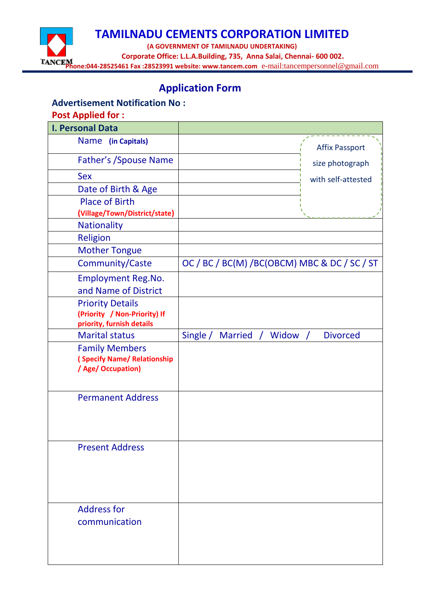

## **Application Form**

#### **Advertisement Notification No :**

#### **Post Applied for :**

| I. Personal Data                                                                     |                                                        |
|--------------------------------------------------------------------------------------|--------------------------------------------------------|
| Name (in Capitals)                                                                   | <b>Affix Passport</b>                                  |
| <b>Father's / Spouse Name</b>                                                        | size photograph                                        |
| <b>Sex</b>                                                                           | with self-attested                                     |
| Date of Birth & Age                                                                  |                                                        |
| <b>Place of Birth</b>                                                                |                                                        |
| (Village/Town/District/state)                                                        |                                                        |
| <b>Nationality</b>                                                                   |                                                        |
| <b>Religion</b>                                                                      |                                                        |
| <b>Mother Tongue</b>                                                                 |                                                        |
| Community/Caste                                                                      | OC / BC / BC(M) / BC(OBCM) MBC & DC / SC / ST          |
| <b>Employment Reg.No.</b><br>and Name of District                                    |                                                        |
| <b>Priority Details</b><br>(Priority / Non-Priority) If<br>priority, furnish details |                                                        |
| <b>Marital status</b>                                                                | Single /<br><b>Married</b><br>Widow<br><b>Divorced</b> |
| <b>Family Members</b><br>(Specify Name/ Relationship<br>/ Age/ Occupation)           |                                                        |
| <b>Permanent Address</b>                                                             |                                                        |
| <b>Present Address</b>                                                               |                                                        |
| <b>Address for</b>                                                                   |                                                        |
| communication                                                                        |                                                        |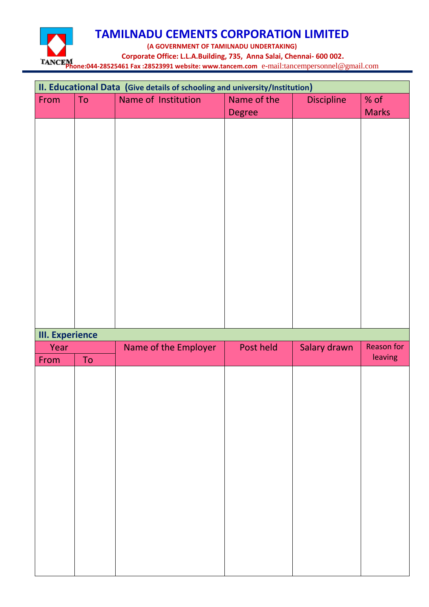

|                        | II. Educational Data (Give details of schooling and university/Institution) |                      |               |                   |                       |
|------------------------|-----------------------------------------------------------------------------|----------------------|---------------|-------------------|-----------------------|
| From                   | To                                                                          | Name of Institution  | Name of the   | <b>Discipline</b> | $%$ of                |
|                        |                                                                             |                      | <b>Degree</b> |                   | <b>Marks</b>          |
|                        |                                                                             |                      |               |                   |                       |
|                        |                                                                             |                      |               |                   |                       |
|                        |                                                                             |                      |               |                   |                       |
|                        |                                                                             |                      |               |                   |                       |
|                        |                                                                             |                      |               |                   |                       |
|                        |                                                                             |                      |               |                   |                       |
|                        |                                                                             |                      |               |                   |                       |
|                        |                                                                             |                      |               |                   |                       |
|                        |                                                                             |                      |               |                   |                       |
|                        |                                                                             |                      |               |                   |                       |
|                        |                                                                             |                      |               |                   |                       |
|                        |                                                                             |                      |               |                   |                       |
|                        |                                                                             |                      |               |                   |                       |
|                        |                                                                             |                      |               |                   |                       |
|                        |                                                                             |                      |               |                   |                       |
|                        |                                                                             |                      |               |                   |                       |
| <b>III.</b> Experience |                                                                             |                      |               |                   |                       |
|                        |                                                                             |                      |               |                   |                       |
|                        |                                                                             |                      |               |                   |                       |
| Year                   |                                                                             | Name of the Employer | Post held     | Salary drawn      | Reason for<br>leaving |
| From                   | ${\sf To}$                                                                  |                      |               |                   |                       |
|                        |                                                                             |                      |               |                   |                       |
|                        |                                                                             |                      |               |                   |                       |
|                        |                                                                             |                      |               |                   |                       |
|                        |                                                                             |                      |               |                   |                       |
|                        |                                                                             |                      |               |                   |                       |
|                        |                                                                             |                      |               |                   |                       |
|                        |                                                                             |                      |               |                   |                       |
|                        |                                                                             |                      |               |                   |                       |
|                        |                                                                             |                      |               |                   |                       |
|                        |                                                                             |                      |               |                   |                       |
|                        |                                                                             |                      |               |                   |                       |
|                        |                                                                             |                      |               |                   |                       |
|                        |                                                                             |                      |               |                   |                       |
|                        |                                                                             |                      |               |                   |                       |